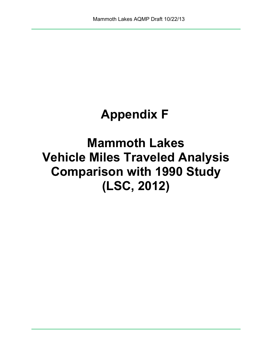## **Appendix F**

**Mammoth Lakes Vehicle Miles Traveled Analysis Comparison with 1990 Study (LSC, 2012)**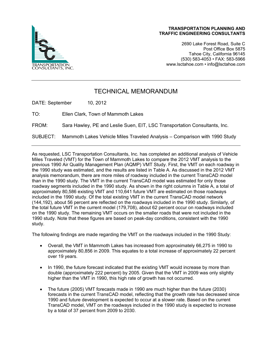

2690 Lake Forest Road, Suite C Post Office Box 5875 Tahoe City, California 96145 (530) 583-4053 • FAX: 583-5966 www.lsctahoe.com • info@lsctahoe.com

## TECHNICAL MEMORANDUM

DATE: September 10, 2012

TO: Ellen Clark, Town of Mammoth Lakes

FROM: Sara Hawley, PE and Leslie Suen, EIT, LSC Transportation Consultants, Inc.

SUBJECT: Mammoth Lakes Vehicle Miles Traveled Analysis – Comparison with 1990 Study

As requested, LSC Transportation Consultants, Inc. has completed an additional analysis of Vehicle Miles Traveled (VMT) for the Town of Mammoth Lakes to compare the 2012 VMT analysis to the previous 1990 Air Quality Management Plan (AQMP) VMT Study. First, the VMT on each roadway in the 1990 study was estimated, and the results are listed in Table A. As discussed in the 2012 VMT analysis memorandum, there are more miles of roadway included in the current TransCAD model than in the 1990 study. The VMT in the current TransCAD model was estimated for only those roadway segments included in the 1990 study. As shown in the right columns in Table A, a total of approximately 80,586 existing VMT and 110,641 future VMT are estimated on those roadways included in the 1990 study. Of the total existing VMT in the current TransCAD model network (144,192), about 56 percent are reflected on the roadways included in the 1990 study. Similarly, of the total future VMT in the current model (179,708), about 62 percent occur on roadways included on the 1990 study. The remaining VMT occurs on the smaller roads that were not included in the 1990 study. Note that these figures are based on peak-day conditions, consistent with the 1990 study.

The following findings are made regarding the VMT on the roadways included in the 1990 Study:

- Overall, the VMT in Mammoth Lakes has increased from approximately 66,275 in 1990 to approximately 80,856 in 2009. This equates to a total increase of approximately 22 percent over 19 years.
- In 1990, the future forecast indicated that the existing VMT would increase by more than double (approximately 222 percent) by 2005. Given that the VMT in 2009 was only slightly higher than the VMT in 1990, this high rate of growth has not occurred.
- The future (2005) VMT forecasts made in 1990 are much higher than the future (2030) forecasts in the current TransCAD model, reflecting that the growth rate has decreased since 1990 and future development is expected to occur at a slower rate. Based on the current TransCAD model, VMT on the roadways included in the 1990 study is expected to increase by a total of 37 percent from 2009 to 2030.